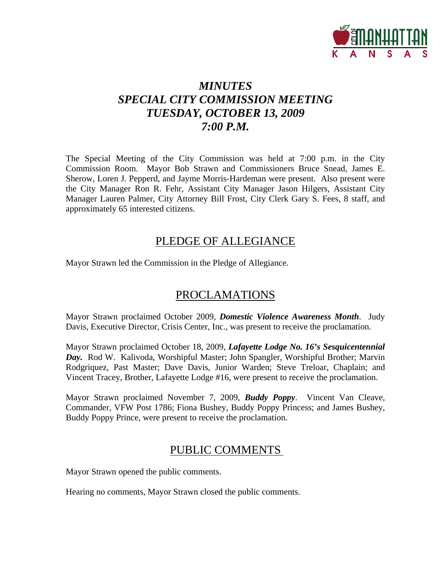

# *MINUTES SPECIAL CITY COMMISSION MEETING TUESDAY, OCTOBER 13, 2009 7:00 P.M.*

The Special Meeting of the City Commission was held at 7:00 p.m. in the City Commission Room. Mayor Bob Strawn and Commissioners Bruce Snead, James E. Sherow, Loren J. Pepperd, and Jayme Morris-Hardeman were present. Also present were the City Manager Ron R. Fehr, Assistant City Manager Jason Hilgers, Assistant City Manager Lauren Palmer, City Attorney Bill Frost, City Clerk Gary S. Fees, 8 staff, and approximately 65 interested citizens.

## PLEDGE OF ALLEGIANCE

Mayor Strawn led the Commission in the Pledge of Allegiance.

## PROCLAMATIONS

Mayor Strawn proclaimed October 2009, *Domestic Violence Awareness Month*. Judy Davis, Executive Director, Crisis Center, Inc., was present to receive the proclamation.

Mayor Strawn proclaimed October 18, 2009, *Lafayette Lodge No. 16's Sesquicentennial Day.* Rod W. Kalivoda, Worshipful Master; John Spangler, Worshipful Brother; Marvin Rodgriquez, Past Master; Dave Davis, Junior Warden; Steve Treloar, Chaplain; and Vincent Tracey, Brother, Lafayette Lodge #16, were present to receive the proclamation.

Mayor Strawn proclaimed November 7, 2009, *Buddy Poppy*. Vincent Van Cleave, Commander, VFW Post 1786; Fiona Bushey, Buddy Poppy Princess; and James Bushey, Buddy Poppy Prince, were present to receive the proclamation.

# PUBLIC COMMENTS

Mayor Strawn opened the public comments.

Hearing no comments, Mayor Strawn closed the public comments.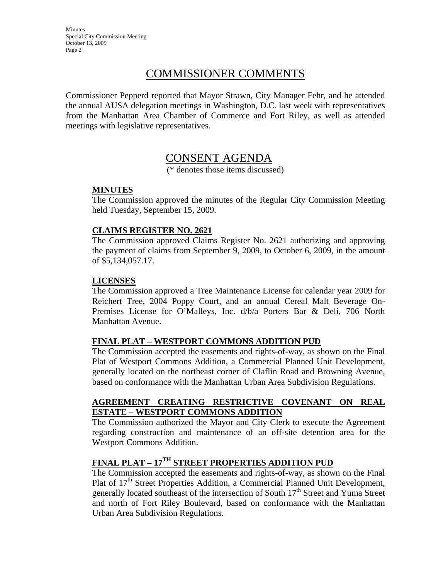Minutes Special City Commission Meeting October 13, 2009 Page 2

## COMMISSIONER COMMENTS

Commissioner Pepperd reported that Mayor Strawn, City Manager Fehr, and he attended the annual AUSA delegation meetings in Washington, D.C. last week with representatives from the Manhattan Area Chamber of Commerce and Fort Riley, as well as attended meetings with legislative representatives.

## CONSENT AGENDA

(\* denotes those items discussed)

### **MINUTES**

The Commission approved the minutes of the Regular City Commission Meeting held Tuesday, September 15, 2009.

### **CLAIMS REGISTER NO. 2621**

The Commission approved Claims Register No. 2621 authorizing and approving the payment of claims from September 9, 2009, to October 6, 2009, in the amount of \$5,134,057.17.

#### **LICENSES**

The Commission approved a Tree Maintenance License for calendar year 2009 for Reichert Tree, 2004 Poppy Court, and an annual Cereal Malt Beverage On-Premises License for O'Malleys, Inc. d/b/a Porters Bar & Deli, 706 North Manhattan Avenue.

### **FINAL PLAT – WESTPORT COMMONS ADDITION PUD**

The Commission accepted the easements and rights-of-way, as shown on the Final Plat of Westport Commons Addition, a Commercial Planned Unit Development, generally located on the northeast corner of Claflin Road and Browning Avenue, based on conformance with the Manhattan Urban Area Subdivision Regulations.

#### **AGREEMENT CREATING RESTRICTIVE COVENANT ON REAL ESTATE – WESTPORT COMMONS ADDITION**

The Commission authorized the Mayor and City Clerk to execute the Agreement regarding construction and maintenance of an off-site detention area for the Westport Commons Addition.

## **FINAL PLAT – 17TH STREET PROPERTIES ADDITION PUD**

The Commission accepted the easements and rights-of-way, as shown on the Final Plat of  $17<sup>th</sup>$  Street Properties Addition, a Commercial Planned Unit Development, generally located southeast of the intersection of South 17<sup>th</sup> Street and Yuma Street and north of Fort Riley Boulevard, based on conformance with the Manhattan Urban Area Subdivision Regulations.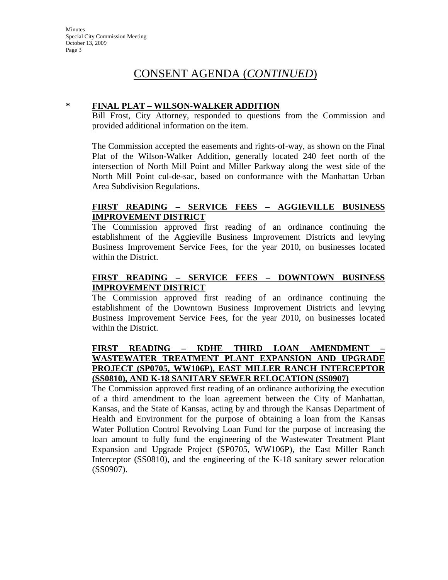#### **\* FINAL PLAT – WILSON-WALKER ADDITION**

Bill Frost, City Attorney, responded to questions from the Commission and provided additional information on the item.

The Commission accepted the easements and rights-of-way, as shown on the Final Plat of the Wilson-Walker Addition, generally located 240 feet north of the intersection of North Mill Point and Miller Parkway along the west side of the North Mill Point cul-de-sac, based on conformance with the Manhattan Urban Area Subdivision Regulations.

### **FIRST READING – SERVICE FEES – AGGIEVILLE BUSINESS IMPROVEMENT DISTRICT**

The Commission approved first reading of an ordinance continuing the establishment of the Aggieville Business Improvement Districts and levying Business Improvement Service Fees, for the year 2010, on businesses located within the District.

### **FIRST READING – SERVICE FEES – DOWNTOWN BUSINESS IMPROVEMENT DISTRICT**

The Commission approved first reading of an ordinance continuing the establishment of the Downtown Business Improvement Districts and levying Business Improvement Service Fees, for the year 2010, on businesses located within the District.

### **FIRST READING – KDHE THIRD LOAN AMENDMENT – WASTEWATER TREATMENT PLANT EXPANSION AND UPGRADE PROJECT (SP0705, WW106P), EAST MILLER RANCH INTERCEPTOR (SS0810), AND K-18 SANITARY SEWER RELOCATION (SS0907)**

The Commission approved first reading of an ordinance authorizing the execution of a third amendment to the loan agreement between the City of Manhattan, Kansas, and the State of Kansas, acting by and through the Kansas Department of Health and Environment for the purpose of obtaining a loan from the Kansas Water Pollution Control Revolving Loan Fund for the purpose of increasing the loan amount to fully fund the engineering of the Wastewater Treatment Plant Expansion and Upgrade Project (SP0705, WW106P), the East Miller Ranch Interceptor (SS0810), and the engineering of the K-18 sanitary sewer relocation (SS0907).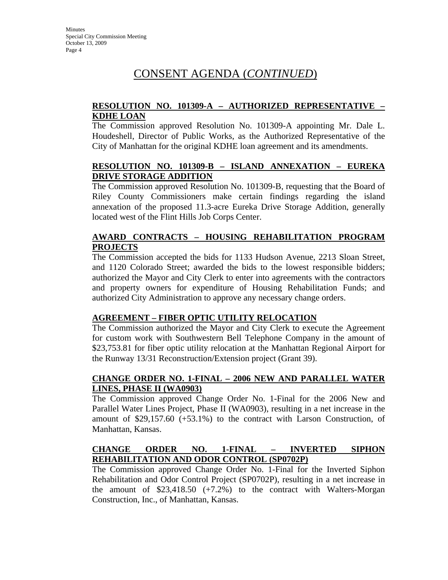### **RESOLUTION NO. 101309-A – AUTHORIZED REPRESENTATIVE – KDHE LOAN**

The Commission approved Resolution No. 101309-A appointing Mr. Dale L. Houdeshell, Director of Public Works, as the Authorized Representative of the City of Manhattan for the original KDHE loan agreement and its amendments.

### **RESOLUTION NO. 101309-B – ISLAND ANNEXATION – EUREKA DRIVE STORAGE ADDITION**

The Commission approved Resolution No. 101309-B, requesting that the Board of Riley County Commissioners make certain findings regarding the island annexation of the proposed 11.3-acre Eureka Drive Storage Addition, generally located west of the Flint Hills Job Corps Center.

## **AWARD CONTRACTS – HOUSING REHABILITATION PROGRAM PROJECTS**

The Commission accepted the bids for 1133 Hudson Avenue, 2213 Sloan Street, and 1120 Colorado Street; awarded the bids to the lowest responsible bidders; authorized the Mayor and City Clerk to enter into agreements with the contractors and property owners for expenditure of Housing Rehabilitation Funds; and authorized City Administration to approve any necessary change orders.

### **AGREEMENT – FIBER OPTIC UTILITY RELOCATION**

The Commission authorized the Mayor and City Clerk to execute the Agreement for custom work with Southwestern Bell Telephone Company in the amount of \$23,753.81 for fiber optic utility relocation at the Manhattan Regional Airport for the Runway 13/31 Reconstruction/Extension project (Grant 39).

### **CHANGE ORDER NO. 1-FINAL – 2006 NEW AND PARALLEL WATER LINES, PHASE II (WA0903)**

The Commission approved Change Order No. 1-Final for the 2006 New and Parallel Water Lines Project, Phase II (WA0903), resulting in a net increase in the amount of \$29,157.60 (+53.1%) to the contract with Larson Construction, of Manhattan, Kansas.

### **CHANGE ORDER NO. 1-FINAL – INVERTED SIPHON REHABILITATION AND ODOR CONTROL (SP0702P)**

The Commission approved Change Order No. 1-Final for the Inverted Siphon Rehabilitation and Odor Control Project (SP0702P), resulting in a net increase in the amount of \$23,418.50 (+7.2%) to the contract with Walters-Morgan Construction, Inc., of Manhattan, Kansas.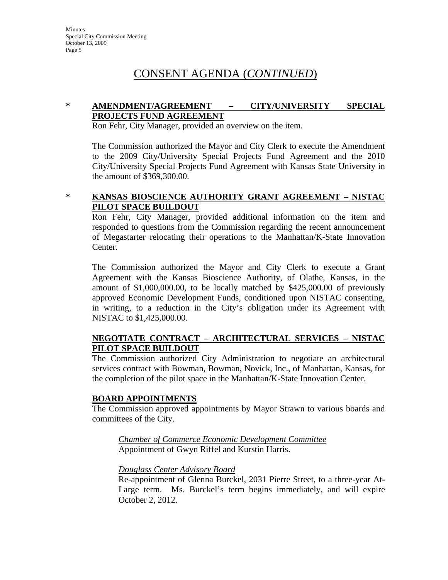### **\* AMENDMENT/AGREEMENT – CITY/UNIVERSITY SPECIAL PROJECTS FUND AGREEMENT**

Ron Fehr, City Manager, provided an overview on the item.

The Commission authorized the Mayor and City Clerk to execute the Amendment to the 2009 City/University Special Projects Fund Agreement and the 2010 City/University Special Projects Fund Agreement with Kansas State University in the amount of \$369,300.00.

### **\* KANSAS BIOSCIENCE AUTHORITY GRANT AGREEMENT – NISTAC PILOT SPACE BUILDOUT**

Ron Fehr, City Manager, provided additional information on the item and responded to questions from the Commission regarding the recent announcement of Megastarter relocating their operations to the Manhattan/K-State Innovation Center.

The Commission authorized the Mayor and City Clerk to execute a Grant Agreement with the Kansas Bioscience Authority, of Olathe, Kansas, in the amount of \$1,000,000.00, to be locally matched by \$425,000.00 of previously approved Economic Development Funds, conditioned upon NISTAC consenting, in writing, to a reduction in the City's obligation under its Agreement with NISTAC to \$1,425,000.00.

#### **NEGOTIATE CONTRACT – ARCHITECTURAL SERVICES – NISTAC PILOT SPACE BUILDOUT**

The Commission authorized City Administration to negotiate an architectural services contract with Bowman, Bowman, Novick, Inc., of Manhattan, Kansas, for the completion of the pilot space in the Manhattan/K-State Innovation Center.

### **BOARD APPOINTMENTS**

The Commission approved appointments by Mayor Strawn to various boards and committees of the City.

*Chamber of Commerce Economic Development Committee* Appointment of Gwyn Riffel and Kurstin Harris.

### *Douglass Center Advisory Board*

Re-appointment of Glenna Burckel, 2031 Pierre Street, to a three-year At-Large term. Ms. Burckel's term begins immediately, and will expire October 2, 2012.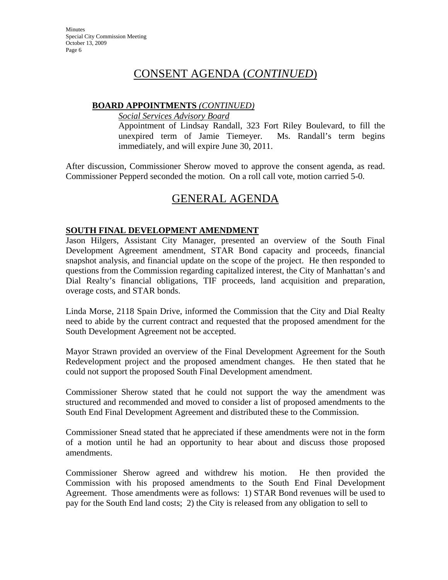## **BOARD APPOINTMENTS** *(CONTINUED)*

*Social Services Advisory Board*

Appointment of Lindsay Randall, 323 Fort Riley Boulevard, to fill the unexpired term of Jamie Tiemeyer. Ms. Randall's term begins immediately, and will expire June 30, 2011.

After discussion, Commissioner Sherow moved to approve the consent agenda, as read. Commissioner Pepperd seconded the motion. On a roll call vote, motion carried 5-0.

# GENERAL AGENDA

### **SOUTH FINAL DEVELOPMENT AMENDMENT**

Jason Hilgers, Assistant City Manager, presented an overview of the South Final Development Agreement amendment, STAR Bond capacity and proceeds, financial snapshot analysis, and financial update on the scope of the project. He then responded to questions from the Commission regarding capitalized interest, the City of Manhattan's and Dial Realty's financial obligations, TIF proceeds, land acquisition and preparation, overage costs, and STAR bonds.

Linda Morse, 2118 Spain Drive, informed the Commission that the City and Dial Realty need to abide by the current contract and requested that the proposed amendment for the South Development Agreement not be accepted.

Mayor Strawn provided an overview of the Final Development Agreement for the South Redevelopment project and the proposed amendment changes. He then stated that he could not support the proposed South Final Development amendment.

Commissioner Sherow stated that he could not support the way the amendment was structured and recommended and moved to consider a list of proposed amendments to the South End Final Development Agreement and distributed these to the Commission.

Commissioner Snead stated that he appreciated if these amendments were not in the form of a motion until he had an opportunity to hear about and discuss those proposed amendments.

Commissioner Sherow agreed and withdrew his motion. He then provided the Commission with his proposed amendments to the South End Final Development Agreement. Those amendments were as follows: 1) STAR Bond revenues will be used to pay for the South End land costs; 2) the City is released from any obligation to sell to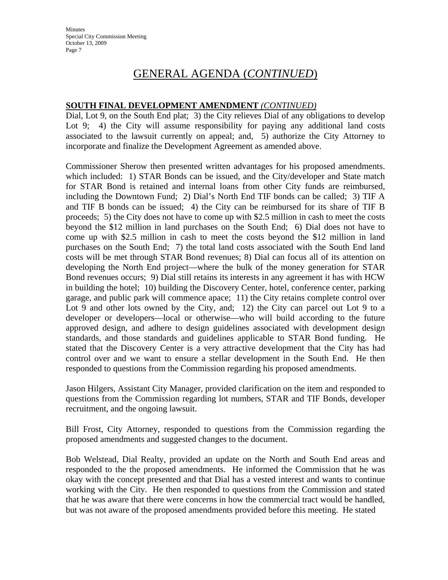#### **SOUTH FINAL DEVELOPMENT AMENDMENT** *(CONTINUED)*

Dial, Lot 9, on the South End plat; 3) the City relieves Dial of any obligations to develop Lot 9; 4) the City will assume responsibility for paying any additional land costs associated to the lawsuit currently on appeal; and, 5) authorize the City Attorney to incorporate and finalize the Development Agreement as amended above.

Commissioner Sherow then presented written advantages for his proposed amendments. which included: 1) STAR Bonds can be issued, and the City/developer and State match for STAR Bond is retained and internal loans from other City funds are reimbursed, including the Downtown Fund; 2) Dial's North End TIF bonds can be called; 3) TIF A and TIF B bonds can be issued; 4) the City can be reimbursed for its share of TIF B proceeds; 5) the City does not have to come up with \$2.5 million in cash to meet the costs beyond the \$12 million in land purchases on the South End; 6) Dial does not have to come up with \$2.5 million in cash to meet the costs beyond the \$12 million in land purchases on the South End; 7) the total land costs associated with the South End land costs will be met through STAR Bond revenues; 8) Dial can focus all of its attention on developing the North End project—where the bulk of the money generation for STAR Bond revenues occurs; 9) Dial still retains its interests in any agreement it has with HCW in building the hotel; 10) building the Discovery Center, hotel, conference center, parking garage, and public park will commence apace; 11) the City retains complete control over Lot 9 and other lots owned by the City, and; 12) the City can parcel out Lot 9 to a developer or developers—local or otherwise—who will build according to the future approved design, and adhere to design guidelines associated with development design standards, and those standards and guidelines applicable to STAR Bond funding. He stated that the Discovery Center is a very attractive development that the City has had control over and we want to ensure a stellar development in the South End. He then responded to questions from the Commission regarding his proposed amendments.

Jason Hilgers, Assistant City Manager, provided clarification on the item and responded to questions from the Commission regarding lot numbers, STAR and TIF Bonds, developer recruitment, and the ongoing lawsuit.

Bill Frost, City Attorney, responded to questions from the Commission regarding the proposed amendments and suggested changes to the document.

Bob Welstead, Dial Realty, provided an update on the North and South End areas and responded to the the proposed amendments. He informed the Commission that he was okay with the concept presented and that Dial has a vested interest and wants to continue working with the City. He then responded to questions from the Commission and stated that he was aware that there were concerns in how the commercial tract would be handled, but was not aware of the proposed amendments provided before this meeting. He stated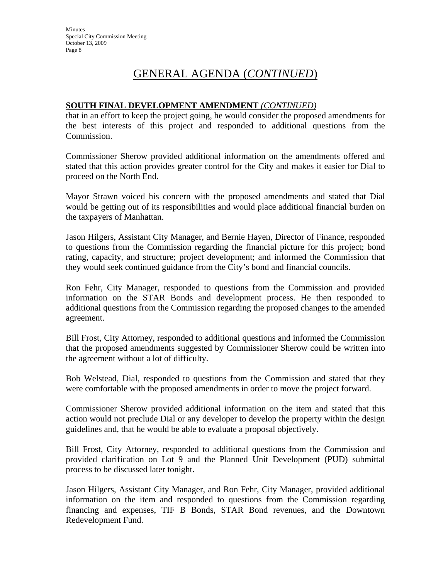#### **SOUTH FINAL DEVELOPMENT AMENDMENT** *(CONTINUED)*

that in an effort to keep the project going, he would consider the proposed amendments for the best interests of this project and responded to additional questions from the Commission.

Commissioner Sherow provided additional information on the amendments offered and stated that this action provides greater control for the City and makes it easier for Dial to proceed on the North End.

Mayor Strawn voiced his concern with the proposed amendments and stated that Dial would be getting out of its responsibilities and would place additional financial burden on the taxpayers of Manhattan.

Jason Hilgers, Assistant City Manager, and Bernie Hayen, Director of Finance, responded to questions from the Commission regarding the financial picture for this project; bond rating, capacity, and structure; project development; and informed the Commission that they would seek continued guidance from the City's bond and financial councils.

Ron Fehr, City Manager, responded to questions from the Commission and provided information on the STAR Bonds and development process. He then responded to additional questions from the Commission regarding the proposed changes to the amended agreement.

Bill Frost, City Attorney, responded to additional questions and informed the Commission that the proposed amendments suggested by Commissioner Sherow could be written into the agreement without a lot of difficulty.

Bob Welstead, Dial, responded to questions from the Commission and stated that they were comfortable with the proposed amendments in order to move the project forward.

Commissioner Sherow provided additional information on the item and stated that this action would not preclude Dial or any developer to develop the property within the design guidelines and, that he would be able to evaluate a proposal objectively.

Bill Frost, City Attorney, responded to additional questions from the Commission and provided clarification on Lot 9 and the Planned Unit Development (PUD) submittal process to be discussed later tonight.

Jason Hilgers, Assistant City Manager, and Ron Fehr, City Manager, provided additional information on the item and responded to questions from the Commission regarding financing and expenses, TIF B Bonds, STAR Bond revenues, and the Downtown Redevelopment Fund.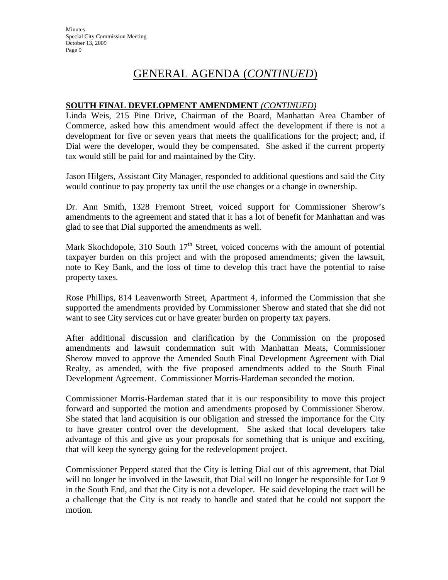#### **SOUTH FINAL DEVELOPMENT AMENDMENT** *(CONTINUED)*

Linda Weis, 215 Pine Drive, Chairman of the Board, Manhattan Area Chamber of Commerce, asked how this amendment would affect the development if there is not a development for five or seven years that meets the qualifications for the project; and, if Dial were the developer, would they be compensated. She asked if the current property tax would still be paid for and maintained by the City.

Jason Hilgers, Assistant City Manager, responded to additional questions and said the City would continue to pay property tax until the use changes or a change in ownership.

Dr. Ann Smith, 1328 Fremont Street, voiced support for Commissioner Sherow's amendments to the agreement and stated that it has a lot of benefit for Manhattan and was glad to see that Dial supported the amendments as well.

Mark Skochdopole, 310 South  $17<sup>th</sup>$  Street, voiced concerns with the amount of potential taxpayer burden on this project and with the proposed amendments; given the lawsuit, note to Key Bank, and the loss of time to develop this tract have the potential to raise property taxes.

Rose Phillips, 814 Leavenworth Street, Apartment 4, informed the Commission that she supported the amendments provided by Commissioner Sherow and stated that she did not want to see City services cut or have greater burden on property tax payers.

After additional discussion and clarification by the Commission on the proposed amendments and lawsuit condemnation suit with Manhattan Meats, Commissioner Sherow moved to approve the Amended South Final Development Agreement with Dial Realty, as amended, with the five proposed amendments added to the South Final Development Agreement. Commissioner Morris-Hardeman seconded the motion.

Commissioner Morris-Hardeman stated that it is our responsibility to move this project forward and supported the motion and amendments proposed by Commissioner Sherow. She stated that land acquisition is our obligation and stressed the importance for the City to have greater control over the development. She asked that local developers take advantage of this and give us your proposals for something that is unique and exciting, that will keep the synergy going for the redevelopment project.

Commissioner Pepperd stated that the City is letting Dial out of this agreement, that Dial will no longer be involved in the lawsuit, that Dial will no longer be responsible for Lot 9 in the South End, and that the City is not a developer. He said developing the tract will be a challenge that the City is not ready to handle and stated that he could not support the motion.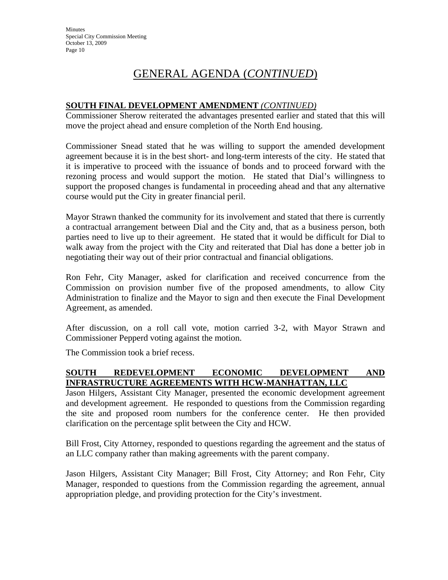## **SOUTH FINAL DEVELOPMENT AMENDMENT** *(CONTINUED)*

Commissioner Sherow reiterated the advantages presented earlier and stated that this will move the project ahead and ensure completion of the North End housing.

Commissioner Snead stated that he was willing to support the amended development agreement because it is in the best short- and long-term interests of the city. He stated that it is imperative to proceed with the issuance of bonds and to proceed forward with the rezoning process and would support the motion. He stated that Dial's willingness to support the proposed changes is fundamental in proceeding ahead and that any alternative course would put the City in greater financial peril.

Mayor Strawn thanked the community for its involvement and stated that there is currently a contractual arrangement between Dial and the City and, that as a business person, both parties need to live up to their agreement. He stated that it would be difficult for Dial to walk away from the project with the City and reiterated that Dial has done a better job in negotiating their way out of their prior contractual and financial obligations.

Ron Fehr, City Manager, asked for clarification and received concurrence from the Commission on provision number five of the proposed amendments, to allow City Administration to finalize and the Mayor to sign and then execute the Final Development Agreement, as amended.

After discussion, on a roll call vote, motion carried 3-2, with Mayor Strawn and Commissioner Pepperd voting against the motion.

The Commission took a brief recess.

## **SOUTH REDEVELOPMENT ECONOMIC DEVELOPMENT AND INFRASTRUCTURE AGREEMENTS WITH HCW-MANHATTAN, LLC**

Jason Hilgers, Assistant City Manager, presented the economic development agreement and development agreement. He responded to questions from the Commission regarding the site and proposed room numbers for the conference center. He then provided clarification on the percentage split between the City and HCW.

Bill Frost, City Attorney, responded to questions regarding the agreement and the status of an LLC company rather than making agreements with the parent company.

Jason Hilgers, Assistant City Manager; Bill Frost, City Attorney; and Ron Fehr, City Manager, responded to questions from the Commission regarding the agreement, annual appropriation pledge, and providing protection for the City's investment.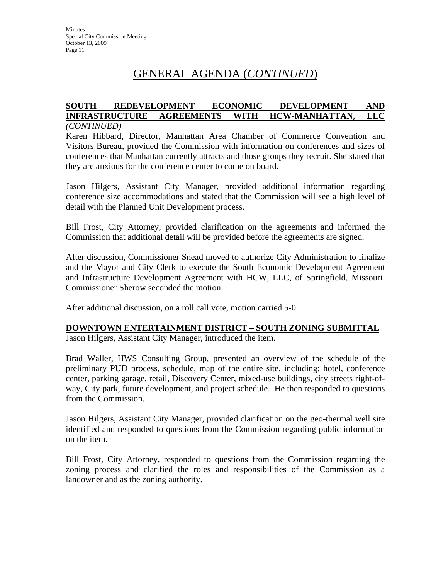#### **SOUTH REDEVELOPMENT ECONOMIC DEVELOPMENT AND INFRASTRUCTURE AGREEMENTS WITH HCW-MANHATTAN, LLC** *(CONTINUED)*

Karen Hibbard, Director, Manhattan Area Chamber of Commerce Convention and Visitors Bureau, provided the Commission with information on conferences and sizes of conferences that Manhattan currently attracts and those groups they recruit. She stated that they are anxious for the conference center to come on board.

Jason Hilgers, Assistant City Manager, provided additional information regarding conference size accommodations and stated that the Commission will see a high level of detail with the Planned Unit Development process.

Bill Frost, City Attorney, provided clarification on the agreements and informed the Commission that additional detail will be provided before the agreements are signed.

After discussion, Commissioner Snead moved to authorize City Administration to finalize and the Mayor and City Clerk to execute the South Economic Development Agreement and Infrastructure Development Agreement with HCW, LLC, of Springfield, Missouri. Commissioner Sherow seconded the motion.

After additional discussion, on a roll call vote, motion carried 5-0.

## **DOWNTOWN ENTERTAINMENT DISTRICT – SOUTH ZONING SUBMITTAL**

Jason Hilgers, Assistant City Manager, introduced the item.

Brad Waller, HWS Consulting Group, presented an overview of the schedule of the preliminary PUD process, schedule, map of the entire site, including: hotel, conference center, parking garage, retail, Discovery Center, mixed-use buildings, city streets right-ofway, City park, future development, and project schedule. He then responded to questions from the Commission.

Jason Hilgers, Assistant City Manager, provided clarification on the geo-thermal well site identified and responded to questions from the Commission regarding public information on the item.

Bill Frost, City Attorney, responded to questions from the Commission regarding the zoning process and clarified the roles and responsibilities of the Commission as a landowner and as the zoning authority.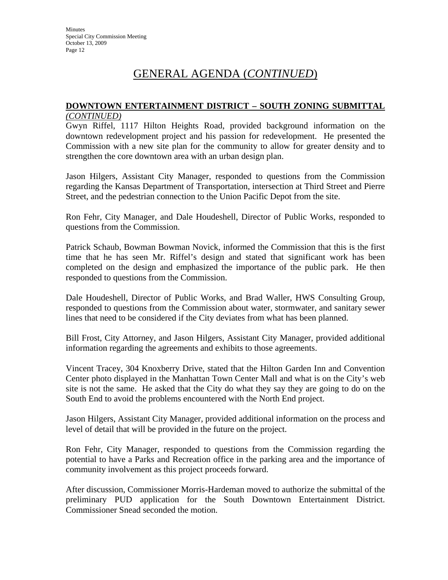#### **DOWNTOWN ENTERTAINMENT DISTRICT – SOUTH ZONING SUBMITTAL** *(CONTINUED)*

Gwyn Riffel, 1117 Hilton Heights Road, provided background information on the downtown redevelopment project and his passion for redevelopment. He presented the Commission with a new site plan for the community to allow for greater density and to strengthen the core downtown area with an urban design plan.

Jason Hilgers, Assistant City Manager, responded to questions from the Commission regarding the Kansas Department of Transportation, intersection at Third Street and Pierre Street, and the pedestrian connection to the Union Pacific Depot from the site.

Ron Fehr, City Manager, and Dale Houdeshell, Director of Public Works, responded to questions from the Commission.

Patrick Schaub, Bowman Bowman Novick, informed the Commission that this is the first time that he has seen Mr. Riffel's design and stated that significant work has been completed on the design and emphasized the importance of the public park. He then responded to questions from the Commission.

Dale Houdeshell, Director of Public Works, and Brad Waller, HWS Consulting Group, responded to questions from the Commission about water, stormwater, and sanitary sewer lines that need to be considered if the City deviates from what has been planned.

Bill Frost, City Attorney, and Jason Hilgers, Assistant City Manager, provided additional information regarding the agreements and exhibits to those agreements.

Vincent Tracey, 304 Knoxberry Drive, stated that the Hilton Garden Inn and Convention Center photo displayed in the Manhattan Town Center Mall and what is on the City's web site is not the same. He asked that the City do what they say they are going to do on the South End to avoid the problems encountered with the North End project.

Jason Hilgers, Assistant City Manager, provided additional information on the process and level of detail that will be provided in the future on the project.

Ron Fehr, City Manager, responded to questions from the Commission regarding the potential to have a Parks and Recreation office in the parking area and the importance of community involvement as this project proceeds forward.

After discussion, Commissioner Morris-Hardeman moved to authorize the submittal of the preliminary PUD application for the South Downtown Entertainment District. Commissioner Snead seconded the motion.